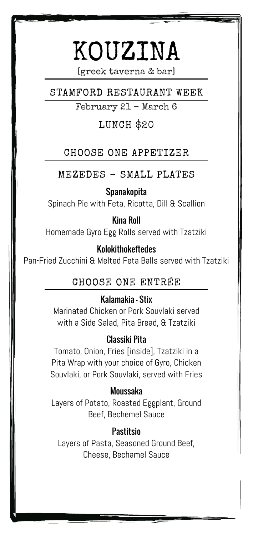# KOUZINA

[greek taverna & bar]

STAMFORD RESTAURANT WEEK

February 21 - March 6

# LUNCH \$20

# CHOOSE ONE APPETIZER

MEZEDES - SMALL PLATES

# Spanakopita

Spinach Pie with Feta, Ricotta, Dill & Scallion

# Kina Roll

Homemade Gyro Egg Rolls served with Tzatziki

# Kolokithokeftedes

Pan-Fried Zucchini & Melted Feta Balls served with Tzatziki

# CHOOSE ONE ENTRÉE

#### Kalamakia - Stix

Marinated Chicken or Pork Souvlaki served with a Side Salad, Pita Bread, & Tzatziki

# Classiki Pita

Tomato, Onion, Fries [inside], Tzatziki in a Pita Wrap with your choice of Gyro, Chicken Souvlaki, or Pork Souvlaki, served with Fries

#### Moussaka

Layers of Potato, Roasted Eggplant, Ground Beef, Bechemel Sauce

# **Pastitsio**

Layers of Pasta, Seasoned Ground Beef, Cheese, Bechamel Sauce